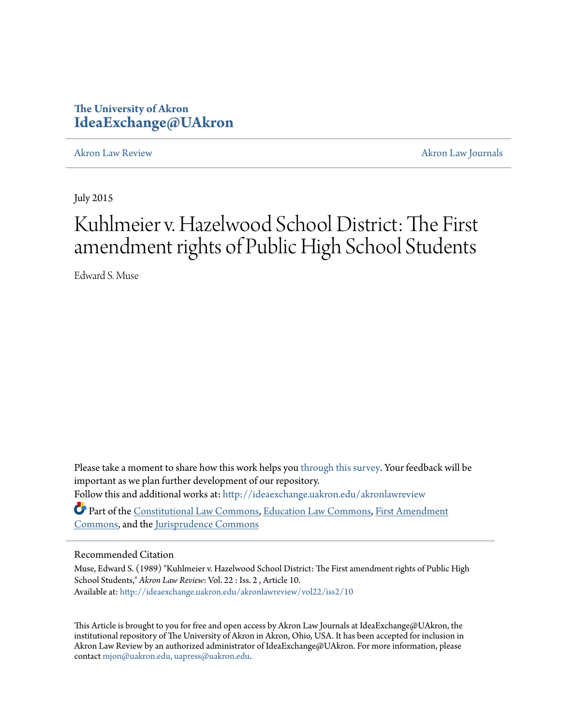# **The University of Akron [IdeaExchange@UAkron](http://ideaexchange.uakron.edu?utm_source=ideaexchange.uakron.edu%2Fakronlawreview%2Fvol22%2Fiss2%2F10&utm_medium=PDF&utm_campaign=PDFCoverPages)**

[Akron Law Review](http://ideaexchange.uakron.edu/akronlawreview?utm_source=ideaexchange.uakron.edu%2Fakronlawreview%2Fvol22%2Fiss2%2F10&utm_medium=PDF&utm_campaign=PDFCoverPages) [Akron Law Journals](http://ideaexchange.uakron.edu/akronlawjournals?utm_source=ideaexchange.uakron.edu%2Fakronlawreview%2Fvol22%2Fiss2%2F10&utm_medium=PDF&utm_campaign=PDFCoverPages)

July 2015

# Kuhlmeier v. Hazelwood School District: The First amendment rights of Public High School Students

Edward S. Muse

Please take a moment to share how this work helps you [through this survey.](http://survey.az1.qualtrics.com/SE/?SID=SV_eEVH54oiCbOw05f&URL=http://ideaexchange.uakron.edu/akronlawreview/vol22/iss2/10) Your feedback will be important as we plan further development of our repository. Follow this and additional works at: [http://ideaexchange.uakron.edu/akronlawreview](http://ideaexchange.uakron.edu/akronlawreview?utm_source=ideaexchange.uakron.edu%2Fakronlawreview%2Fvol22%2Fiss2%2F10&utm_medium=PDF&utm_campaign=PDFCoverPages)

Part of the [Constitutional Law Commons,](http://network.bepress.com/hgg/discipline/589?utm_source=ideaexchange.uakron.edu%2Fakronlawreview%2Fvol22%2Fiss2%2F10&utm_medium=PDF&utm_campaign=PDFCoverPages) [Education Law Commons](http://network.bepress.com/hgg/discipline/596?utm_source=ideaexchange.uakron.edu%2Fakronlawreview%2Fvol22%2Fiss2%2F10&utm_medium=PDF&utm_campaign=PDFCoverPages), [First Amendment](http://network.bepress.com/hgg/discipline/1115?utm_source=ideaexchange.uakron.edu%2Fakronlawreview%2Fvol22%2Fiss2%2F10&utm_medium=PDF&utm_campaign=PDFCoverPages) [Commons,](http://network.bepress.com/hgg/discipline/1115?utm_source=ideaexchange.uakron.edu%2Fakronlawreview%2Fvol22%2Fiss2%2F10&utm_medium=PDF&utm_campaign=PDFCoverPages) and the [Jurisprudence Commons](http://network.bepress.com/hgg/discipline/610?utm_source=ideaexchange.uakron.edu%2Fakronlawreview%2Fvol22%2Fiss2%2F10&utm_medium=PDF&utm_campaign=PDFCoverPages)

## Recommended Citation

Muse, Edward S. (1989) "Kuhlmeier v. Hazelwood School District: The First amendment rights of Public High School Students," *Akron Law Review*: Vol. 22 : Iss. 2 , Article 10. Available at: [http://ideaexchange.uakron.edu/akronlawreview/vol22/iss2/10](http://ideaexchange.uakron.edu/akronlawreview/vol22/iss2/10?utm_source=ideaexchange.uakron.edu%2Fakronlawreview%2Fvol22%2Fiss2%2F10&utm_medium=PDF&utm_campaign=PDFCoverPages)

This Article is brought to you for free and open access by Akron Law Journals at IdeaExchange@UAkron, the institutional repository of The University of Akron in Akron, Ohio, USA. It has been accepted for inclusion in Akron Law Review by an authorized administrator of IdeaExchange@UAkron. For more information, please contact [mjon@uakron.edu, uapress@uakron.edu.](mailto:mjon@uakron.edu,%20uapress@uakron.edu)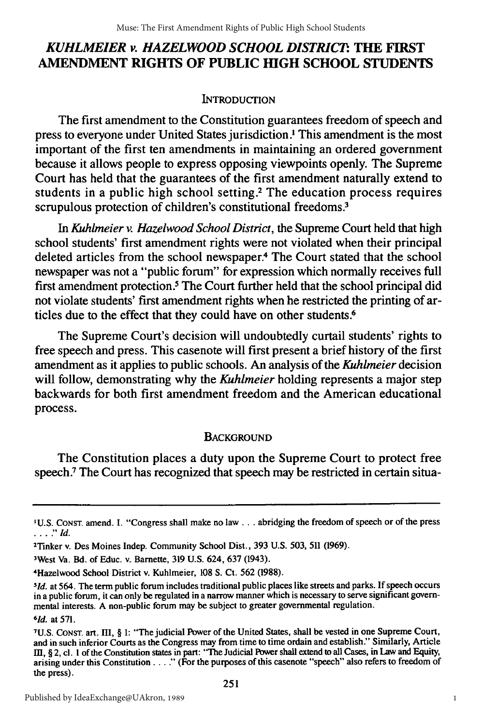# *KUHLMEIER v. HAZELWOOD SCHOOL DISTRIC'.* **THE FIRST AMENDMENT RIGHTS OF PUBLIC HIGH SCHOOL STUDENTS**

## INTRODUcTION

The first amendment to the Constitution guarantees freedom of speech and press to everyone under United States jurisdiction .' This amendment is the most important of the first ten amendments in maintaining an ordered government because it allows people to express opposing viewpoints openly. The Supreme Court has held that the guarantees of the first amendment naturally extend to students in a public high school setting.2 The education process requires scrupulous protection of children's constitutional freedoms.<sup>3</sup>

*In Kuhlmeier v. Hazelwood School District,* the Supreme Court held that high school students' first amendment rights were not violated when their principal deleted articles from the school newspaper.4 The Court stated that the school newspaper was not a "public forum" for expression which normally receives full first amendment protection.<sup>5</sup> The Court further held that the school principal did not violate students' first amendment rights when he restricted the printing of articles due to the effect that they could have on other students.<sup>6</sup>

The Supreme Court's decision will undoubtedly curtail students' rights to free speech and press. This casenote will first present a brief history of the first amendment as it applies to public schools. An analysis of the *Kuhlmeier* decision will follow, demonstrating why the *Kuhlmeier* holding represents a major step backwards for both first amendment freedom and the American educational process.

# **BACKGROUND**

The Constitution places a duty upon the Supreme Court to protect free speech.<sup>7</sup> The Court has recognized that speech may be restricted in certain situa-

3West Va. Bd. of Educ. v. Barnette, 319 U.S. 624, 637 (1943).

<sup>&#</sup>x27;U.S. CONST. amend. I. "Congress shall make no law.. **.** abridging the freedom of speech or of the press **...." d.**

<sup>2</sup> Tinker v. Des Moines Indep. Community School Dist., 393 U.S. 503, 511 (1969).

<sup>4</sup> Hazelwood School District v. Kuhlmeier, 108 **S.** Ct. 562 (1988).

*<sup>5</sup> 1d.* at 564. The term public forum includes traditional public places like streets and parks. If speech occurs in a public forum, it can only be regulated in a narrow manner which is necessary to serve significant governmental interests. A non-public forum may be subject to greater governmental regulation.

*<sup>6</sup> 1d.* at 571.

<sup>7</sup>U.S. CONsT. art. III, § 1: "The judicial Power of the United States, shall be vested in one Supreme Court, and in such inferior Courts as the Congress may from time to time ordain and establish." Similarly, Article III, § 2, cl. 1 of the Constitution states in part: "The Judicial Power shall extend to all Cases, in Law and Equity, arising under this Constitution . . . ." (For the purposes of this casenote "speech" also refers to free the press).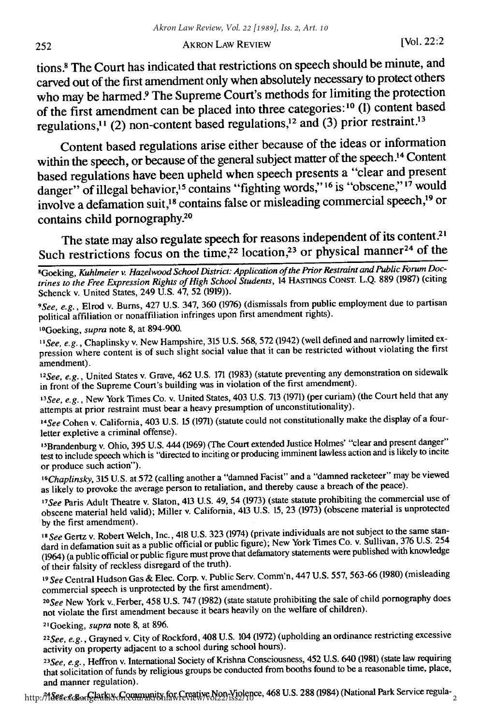### AKRON LAW REVIEW [Vol. 22:2

tions.8 The Court has indicated that restrictions on speech should be minute, and carved out of the first amendment only when absolutely necessary to protect others who may be harmed.<sup>9</sup> The Supreme Court's methods for limiting the protection of the first amendment can be placed into three categories:' <sup>0</sup>**(1)** content based regulations,<sup>11</sup> (2) non-content based regulations,<sup>12</sup> and (3) prior restraint.<sup>13</sup>

Content based regulations arise either because of the ideas or information within the speech, or because of the general subject matter of the speech.<sup>14</sup> Content based regulations have been upheld when speech presents a "clear and present danger" of illegal behavior,<sup>15</sup> contains "fighting words,"<sup>16</sup> is "obscene,"<sup>17</sup> would involve a defamation suit,<sup>18</sup> contains false or misleading commercial speech,<sup>19</sup> or contains child pornography.<sup>20</sup>

The state may also regulate speech for reasons independent of its content.<sup>21</sup> Such restrictions focus on the time,<sup>22</sup> location,<sup>23</sup> or physical manner<sup>24</sup> of the

*9 See, e.g.,* Elrod v. Burns, 427 U.S. 347, 360 (1976) (dismissals from public employment due to partisan political affiliation or nonaffiliation infringes upon first amendment rights).

' 0 Goeking, *supra* note 8, at 894-900.

*'"See, e.g.,* Chaplinsky v. New Hampshire, 315 U.S. 568, 572 (1942) (well defined and narrowly limited expression where content is of such slight social value that it can be restricted without violating the first amendment).

<sup>12</sup> See, e.g., United States v. Grave, 462 U.S. 171 (1983) (statute preventing any demonstration on sidewall in front of the Supreme Court's building was in violation of the first amendment).

<sup>13</sup> See, e.g., New York Times Co. v. United States, 403 U.S. 713 (1971) (per curiam) (the Court held that any attempts at prior restraint must bear a heavy presumption of unconstitutionality).

*1 4 See* Cohen v. California, 403 U.S. 15 (1971) (statute could not constitutionally make the display of a fourletter expletive a criminal offense).

<sup>15</sup>Brandenburg v. Ohio, 395 U.S. 444 (1969) (The Court extended Justice Holmes' "clear and present danger" test to include speech which is "directed to inciting or producing inminent lawless action and is likely to incite or produce such action").

<sup>16</sup>Chaplinsky, 315 U.S. at 572 (calling another a "damned Facist" and a "damned racketeer" may be viewed as likely to provoke the average person to retaliation, and thereby cause a breach of the peace).

*1 7 See* Paris Adult Theatre v. Slaton, 413 U.S. 49, 54 (1973) (state statute prohibiting the commercial use of obscene material held valid); Miller v. California, 413 U.S. 15, 23 (1973) (obscene material is unprotected by the first amendment).

*18 See* Gertz v. Robert Welch, Inc., 418 U.S. 323 (1974) (private individuals are not subject to the same standard in defamation suit as a public official or public figure); New York Times Co. v. Sullivan, 376 U.S. 254 (1964) (a public official or public figure must prove that defamatory statements were published with knowledge of their falsity of reckless disregard of the truth).

*<sup>19</sup>See* Central Hudson Gas & Elec. Corp. v. Public Serv. Comm'n, 447 U.S. 557, 563-66 (1980) (misleading commercial speech is unprotected by the first amendment).

*See* New York v..Ferber, 458 U.S. 747 (1982) (state statute prohibiting the sale of child pornography does not violate the first amendment because it bears heavily on the welfare of children).

2 'Goeking, *supra* note 8, at 896.

*22See, e.g.,* Grayned v. City of Rockford, 408 U.S. 104 (1972) (upholding an ordinance restricting excessive activity on property adjacent to a school during school hours).

*2See, e.g.,* Heffron v. International Society of Krishna Consciousness, 452 U.S. 640 (1981) (state law requiring that solicitation of funds by religious groups be conducted from booths found to be a reasonable time, place, and manner regulation).

and manner regulation).<br>http://ideaexc&angeathX+GQuumunity for Coative Non-Violence, 468 U.S. 288 (1984) (National Park Service regula-

<sup>&#</sup>x27;Goeking, *Kuhlneier* v. *Hazelwood School District: Application of the Prior Restraint and Public Forum Doctrines to the Free Expression Rights of High School Students,* 14 **HASTINGS** CONST. L.Q. 889 (1987) (citing Schenck v. United States, 249 U.S. 47, 52 (1919)).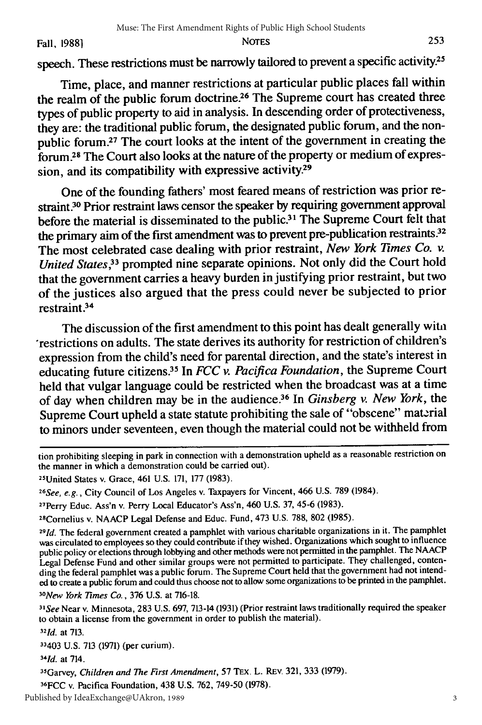speech. These restrictions must be narrowly tailored to prevent a specific activity.<sup>25</sup>

Time, place, and manner restrictions at particular public places fall within the realm of the public forum doctrine.<sup>26</sup> The Supreme court has created three types of public property to aid in analysis. In descending order of protectiveness, they are: the traditional public forum, the designated public forum, and the nonpublic forum.27 The court looks at the intent of the government in creating the forum **38** The Court also looks at the nature of the property or medium of expression, and its compatibility with expressive activity.<sup>29</sup>

One of the founding fathers' most feared means of restriction was prior restraint.<sup>30</sup> Prior restraint laws censor the speaker by requiring government approval before the material is disseminated to the public.<sup>31</sup> The Supreme Court felt that the primary aim of the first amendment was to prevent pre-publication restraints.<sup>32</sup> The most celebrated case dealing with prior restraint, *New York Times Co. v. United States,33* prompted nine separate opinions. Not only did the Court hold that the government carries a heavy burden in justifying prior restraint, but two of the justices also argued that the press could never be subjected to prior  $restraint.<sup>34</sup>$ 

The discussion of the first amendment to this point has dealt generally wita restrictions on adults. The state derives its authority for restriction of children's expression from the child's need for parental direction, and the state's interest in educating future citizens.35 In *FCC v. Pacifica Foundation,* the Supreme Court held that vulgar language could be restricted when the broadcast was at a time of day when children may be in the audience.36 In *Ginsberg v. New York,* the Supreme Court upheld a state statute prohibiting the sale of "obscene" material to minors under seventeen, even though the material could not be withheld from

28Cornelius v. NAACP Legal Defense and Educ. Fund, 473 U.S. 788, 802 (1985).

*3 1See* Near v. Minnesota, 283 U.S. 697, 713-14 (1931) (Prior restraint laws traditionally required the speaker to obtain a license from the government in order to publish the material). *321d.* at 713.

33403 U.S. 713 (1971) (per curium).

*34Id.* at 714.

35Garvey, *Children* and *The First* Amendment, 57 TEx. L. REv. 321, 333 (1979).

36FCC v. Pacifica Foundation, 438 U.S. 762, 749-50 (1978).

tion prohibiting sleeping in park in connection with a demonstration upheld as a reasonable restriction on the manner in which a demonstration could be carried out).

<sup>25</sup>United States v. Grace, 461 U.S. 171, 177 (1983).

*<sup>26</sup>See, e.g.,* City Council of Los Angeles v. Taxpayers for Vincent, 466 U.S. 789 (1984).

<sup>27</sup>Perry Educ. Ass'n v. Perry Local Educator's Ass'n, 460 U.S. 37, 45-6 (1983).

*<sup>29</sup>Id.* The federal government created a pamphlet with various charitable organizations in it. The pamphlet was circulated to employees so they could contribute if they wished. Organizations which sought to influence public policy or elections through lobbying and other methods were not permitted in the pamphlet. The NAACP Legal Defense Fund and other similar groups were not permitted to participate. They challenged, contending the federal pamphlet was a public forum. The Supreme Court held that the government had not intended to create a public forum and could thus choose not to allow some organizations to be printed in the pamphlet. *3 0New York limes Co.,* 376 U.S. at 716-18.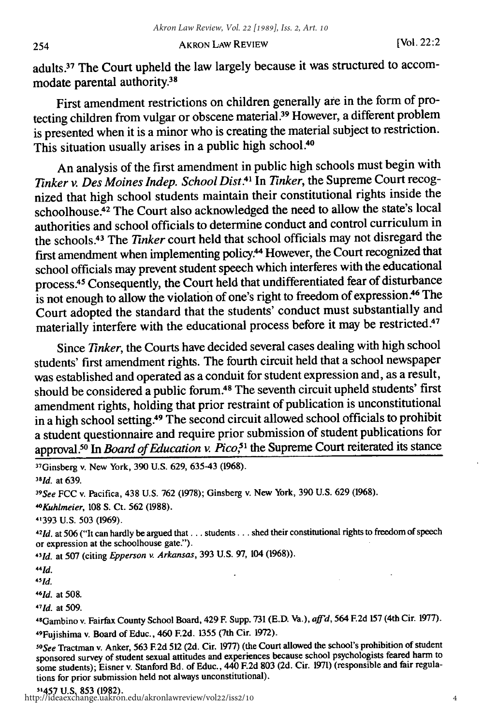AKRON **LAW** REVIEW [Vol. 22:2

adults.<sup>37</sup> The Court upheld the law largely because it was structured to accommodate parental authority.38

First amendment restrictions on children generally **ate** in the form of protecting children from vulgar or obscene material.<sup>39</sup> However, a different problem is presented when it is a minor who is creating the material subject to restriction. This situation usually arises in a public high **school.40**

An analysis of the first amendment in public high schools must begin with *linker v. Des Moines Indep. School Dist.4* In *Tinker,* the Supreme Court recognized that high school students maintain their constitutional rights inside the schoolhouse.<sup>42</sup> The Court also acknowledged the need to allow the state's local authorities and school officials to determine conduct and control curriculum in the schools.<sup>43</sup> The *Tinker* court held that school officials may not disregard the first amendment when implementing policy.<sup>44</sup> However, the Court recognized that school officials may prevent student speech which interferes with the educational process.45 Consequently, the Court held that undifferentiated fear of disturbance is not enough to allow the violation of one's right to freedom of expression.46 The Court adopted the standard that the students' conduct must substantially and materially interfere with the educational process before it may be restricted.<sup>47</sup>

Since *Tinker*, the Courts have decided several cases dealing with high school students' first amendment rights. The fourth circuit held that a school newspaper was established and operated as a conduit for student expression and, as a result, should be considered a public forum.48 The seventh circuit upheld students' first amendment rights, holding that prior restraint of publication is unconstitutional in a high school setting.49 The second circuit allowed school officials to prohibit a student questionnaire and require prior submission of student publications for approval.50 In *Board of Education v. Pico,51* the Supreme Court reiterated its stance

37Ginsberg v. New York, 390 U.S. 629, 635-43 (1968).

*<sup>38</sup> d.* at 639.

*3 9 See* FCC v. Pacifica, 438 U.S. 762 (1978); Ginsberg v. New York, 390 U.S. 629 (1968).

*"'Kuhlmeier,* 108 **S.** Ct. 562 (1988).

41393 U.S. 503 (1969).

*421d.* at 506 ("It can hardly be argued **that...** students... shed their constitutional rights to freedom of speech or expression at the schoolhouse gate.").

*431d.* at 507 (citing *Epperson v. Arkansas,* 393 U.S. 97, 104 (1968)).

"Id.

*4 5 1d.*

*46d.* at 508.

*4 7 1d.* at 509.

4 8 Gambino v. Fairfax County School Board, 429 F. Supp. 731 (E.D. Va.), aftd, 564 **F.2d** 157 (4th Cir. 1977). 4 9 Fujishima v. Board of Educ., 460 F.2d. 1355 (7th Cir. 1972).

*1 0 See* Tractman v. Anker, 563 **F.2d** 512 (2d. Cir. 1977) (the Court allowed the school's prohibition of student sponsored survey of student sexual attitudes and experiences because school psychologists feared harm to some students); Eisner v. Stanford Bd. of Educ., 440 F.2d 803 (2d. Cir. 1971) (responsible and fair regulations for prior submission held not always unconstitutional).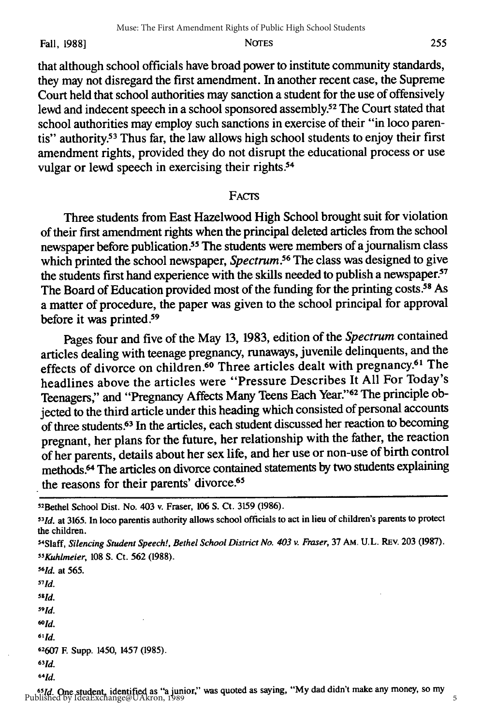Fall, 1988] NOTES

that although school officials have broad power to institute community standards, they may not disregard the first amendment. In another recent case, the Supreme Court held that school authorities may sanction a student for the use of offensively lewd and indecent speech in a school sponsored assembly.<sup>52</sup> The Court stated that school authorities may employ such sanctions in exercise of their "in loco parentis" authority.<sup>53</sup> Thus far, the law allows high school students to enjoy their first amendment rights, provided they do not disrupt the educational process or use vulgar or lewd speech in exercising their rights.<sup>54</sup>

#### FACTS

Three students from East Hazelwood High School brought suit for violation of their first amendment rights when the principal deleted articles from the school newspaper before publication.<sup>55</sup> The students were members of a journalism class which printed the school newspaper, *Spectrum*.<sup>56</sup> The class was designed to give the students first hand experience with the skills needed to publish a newspaper.<sup>57</sup> The Board of Education provided most of the funding for the printing costs.<sup>58</sup> As a matter of procedure, the paper was given to the school principal for approval before it was printed.<sup>59</sup>

Pages four and five of the May **13, 1983,** edition of the *Spectrum* contained articles dealing with teenage pregnancy, runaways, juvenile delinquents, and the effects of divorce on children.<sup>60</sup> Three articles dealt with pregnancy.<sup>61</sup> The headlines above the articles were "Pressure Describes It **All** For Today's Teenagers," and "Pregnancy Affects Many Teens Each Year."62 The principle objected to the third article under this heading which consisted of personal accounts of three students.63 In the articles, each student discussed her reaction to becoming pregnant, her plans for the future, her relationship with the father, the reaction of her parents, details about her sex life, and her use or non-use of birth control methods.<sup>64</sup> The articles on divorce contained statements by two students explaining the reasons for their parents' divorce.<sup>65</sup>

*1d.* at 565. *5 7 1d. 581d. 591d.* **601d. 61 1d. 62607** F. Supp. 1450, 1457 (1985). *631d. 6 4 1d.*

5

<sup>5</sup> 2 Bethel School Dist. No. 403 v. Fraser, 106 **S.** Ct. 3159 (1986).

*<sup>131</sup>d.* at 3165. In loco parentis authority allows school officials to act in lieu of children's parents to protect the children. 54Slaff, *Silencing Student Speech!, Bethel School District No. 403 v. Fraser,* 37 AM. U.L. REV. 203 (1987).

*<sup>55</sup>Kuhlmeier,* 108 S. Ct. 562 (1988). *<sup>56</sup>*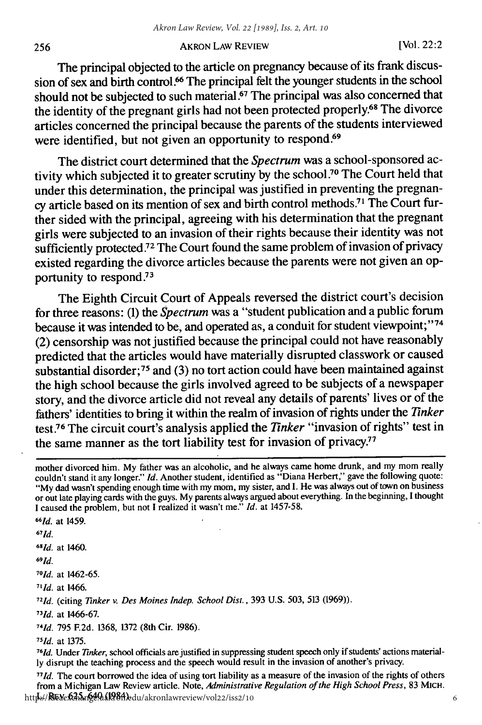#### AKRON LAW REVIEW [Vol. 22:2

The principal objected to the article on pregnancy because of its frank discussion of sex and birth control.<sup>66</sup> The principal felt the younger students in the school should not be subjected to such material.<sup>67</sup> The principal was also concerned that the identity of the pregnant girls had not been protected properly.68 The divorce articles concerned the principal because the parents of the students interviewed were identified, but not given an opportunity to respond.<sup>69</sup>

The district court determined that the *Spectrum* was a school-sponsored activity which subjected it to greater scrutiny by the school.<sup>70</sup> The Court held that under this determination, the principal was justified in preventing the pregnancy article based on its mention of sex and birth control methods.<sup>71</sup> The Court further sided with the principal, agreeing with his determination that the pregnant girls were subjected to an invasion of their rights because their identity was not sufficiently protected **72** The Court found the same problem of invasion of privacy existed regarding the divorce articles because the parents were not given an opportunity to respond.<sup>73</sup>

The Eighth Circuit Court of Appeals reversed the district court's decision for three reasons: (1) the *Spectrum* was a "student publication and a public forum because it was intended to be, and operated as, a conduit for student viewpoint;"<sup>74</sup> (2) censorship was not justified because the principal could not have reasonably predicted that the articles would have materially disrupted classwork or caused substantial disorder;<sup>75</sup> and (3) no tort action could have been maintained against the high school because the girls involved agreed to be subjects of a newspaper story, and the divorce article did not reveal any details of parents' lives or of the fathers' identities to bring it within the realm of invasion of rights under the *Tinker* test 76 The circuit court's analysis applied the *Tinker* "invasion of rights" test in the same manner as the tort liability test for invasion of privacy.<sup>77</sup>

*6 7 1d.*

*6 81d.* at 1460. *6 9*

*1d.*

*70 1d.* at **1462-65.**

*<sup>71</sup> d.* at 1466.

*721d.* (citing *linker v. Des Moines Indep. School Dist.,* 393 U.S. 503, 513 (1969)).

*73)d.* at 1466-67.

*741d.* 795 F.2d. 1368, 1372 (8th Cir. 1986).

*71d.* at 1375. *761d.* Under *inker,* school officials are justified in suppressing student speech only if students' actions materially disrupt the teaching process and the speech would result in the invasion of another's privacy.

*771d.* The court borrowed the idea of using tort liability as a measure of the invasion of the rights of others from a Michigan Law Review article. Note, *Administrative Regulation of the High School Press,* 83 MIcH. http://**REYeDAS.ng49.11984)**edu/akronlawreview/vol22/iss2/10

mother divorced him. My father was an alcoholic, and he always came home drunk, and my mom really couldn't stand it any longer." *Id.* Another student, identified as "Diana Herbert," gave the following quote: "My dad wasn't spending enough time with my mom, my sister, and I. He was always out of town on business or out late playing cards with the guys. My parents always argued about everything. In the beginning, I thought I caused the problem, but not I realized it wasn't me." *Id.* at 1457-58. *661d.* at 1459.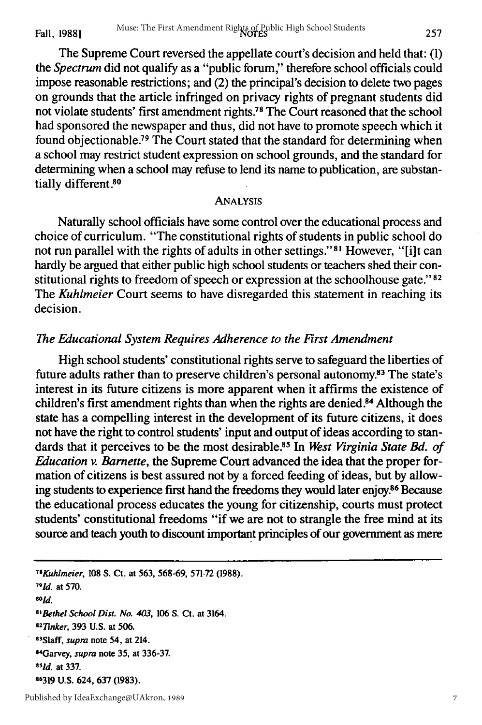The Supreme Court reversed the appellate court's decision and held that: **(1)** *the Spectrum* did not qualify as a "public forum," therefore school officials could impose reasonable restrictions; and (2) the principal's decision to delete two pages on grounds that the article infringed on privacy rights of pregnant students did not violate students' first amendment rights 78 The Court reasoned that the school had sponsored the newspaper and thus, did not have to promote speech which it found objectionable.<sup>79</sup> The Court stated that the standard for determining when a school may restrict student expression on school grounds, and the standard for determining when a school may refuse to lend its name to publication, are substantially different **8 o**

#### ANALYSIS

Naturally school officials have some control over the educational process and choice of curriculum. "The constitutional rights of students in public school do not run parallel with the rights of adults in other settings." **<sup>8</sup> <sup>1</sup>**However, "[i]t can hardly be argued that either public high school students or teachers shed their constitutional rights to freedom of speech or expression at the schoolhouse gate."<sup>82</sup> The *Kuhlmeier* Court seems to have disregarded this statement in reaching its decision.

#### *The Educational System Requires Adherence to the First Amendment*

High school students' constitutional rights serve to safeguard the liberties of future adults rather than to preserve children's personal autonomy.<sup>83</sup> The state's interest in its future citizens is more apparent when it affirms the existence of children's first amendment rights than when the rights are denied.<sup>84</sup> Although the state has a compelling interest in the development of its future citizens, it does not have the right to control students' input and output of ideas according to standards that it perceives to be the most desirable.<sup>85</sup> In *West Virginia State Bd. of Education v. Barnette,* the Supreme Court advanced the idea that the proper formation of citizens is best assured not by a forced feeding of ideas, but by allowing students to experience first hand the freedoms they would later enjoy.86 Because the educational process educates the young for citizenship, courts must protect students' constitutional freedoms "if we are not to strangle the free mind at its source and teach youth to discount important principles of our government as mere

 *8Kuhlmeier,* **108** S. Ct. at **563, 568-69, 571-72 (1988). 791d.** at 570. *801d. 8 1Bethel School Dist. No. 403,* **106 S. Ct. at 3164.** *<sup>2</sup> 1inker,* **393** U.S. **at 506. 3S1aff,** *supra* **note 54, at 214. 4 Garvey,** *supra* **note 35, at 336-37. 1Jd. at 337.** U.S. 624, **637 (1983).**

7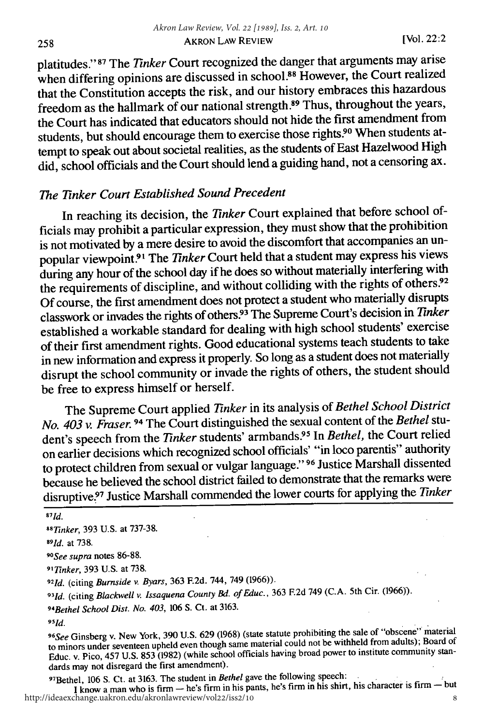platitudes." 87 The *Tinker* Court recognized the danger that arguments may arise when differing opinions are discussed in school.<sup>88</sup> However, the Court realized that the Constitution accepts the risk, and our history embraces this hazardous freedom as the hallmark of our national strength.89 Thus, throughout the years, the Court has indicated that educators should not hide the first amendment from students, but should encourage them to exercise those rights.90 When students attempt to speak out about societal realities, as the students of East Hazelwood High did, school officials and the Court should lend a guiding hand, not a censoring ax.

# *The Tinker Court Established Sound Precedent*

In reaching its decision, the *Tinker* Court explained that before school officials may prohibit a particular expression, they must show that the prohibition is not motivated by a mere desire to avoid the discomfort that accompanies an unpopular viewpoint.<sup>91</sup> The *Tinker* Court held that a student may express his views during any hour of the school day if he does so without materially interfering with the requirements of discipline, and without colliding with the rights of others.92 Of course, the first amendment does not protect a student who materially disrupts classwork or invades the rights of others? 3 The Supreme Court's decision in *Tinker* established a workable standard for dealing with high school students' exercise of their first amendment rights. Good educational systems teach students to take in new information and express it properly. So long as a student does not materially disrupt the school community or invade the rights of others, the student should be free to express himself or herself.

The Supreme Court applied *Tinker* in its analysis of *Bethel School District No. 403 v. Fraser.* 94 The Court distinguished the sexual content of the *Bethel* student's speech from the *Tinker* students' armbands.<sup>95</sup> In *Bethel*, the Court relied on earlier decisions which recognized school officials' "in loco parentis" authority to protect children from sexual or vulgar language." **<sup>96</sup>**Justice Marshall dissented because he believed the school district failed to demonstrate that the remarks were disruptive? 7 Justice Marshall commended the lower courts for applying the *Tinker*

*96 See* Ginsberg v. New York, 390 U.S. 629 (1968) (state statute prohibiting the sale of "obscene" material to minors under seventeen upheld even though same material could not be withheld from adults); Board of Educ. v. Pico, 457 U.S. 853 (1982) (while school officials having broad power to institute community standards may not disregard the first amendment).

<sup>9</sup> Bethel, 106 **S.** Ct. at 3163. The student in *Bethel* gave the following speech:

**I**know a man who is firm — he's firm in his pants, he's firm in his shirt, his character is firm — but http://ideaexchange.uakron.edu/akronlawreview/vol22/iss2/10

*<sup>871</sup> d.*

*<sup>88</sup>Tinker,* 393 U.S. at 737-38.

*<sup>89</sup> 1d.* at 738.

*<sup>90</sup> See supra* notes 86-88.

<sup>91</sup> Tinker, 393 U.S. at 738.

*TInker,* 393 U.S. at 738. *9 21d.* (citing *Burnside v. Byars,* 363 **F.2d.** 744, 749 (1966)).

*<sup>9</sup> 3 1d.* (citing *Blackwell v. Issaquena County Bd. ofEduc.,* 363 **F.2d** 749 (C.A. 5th Cir. (1966)).

<sup>94</sup>Bethel School Dist. No. 403, <sup>106</sup>**S.** Ct. at 3163.

*<sup>9</sup> 5 1d.*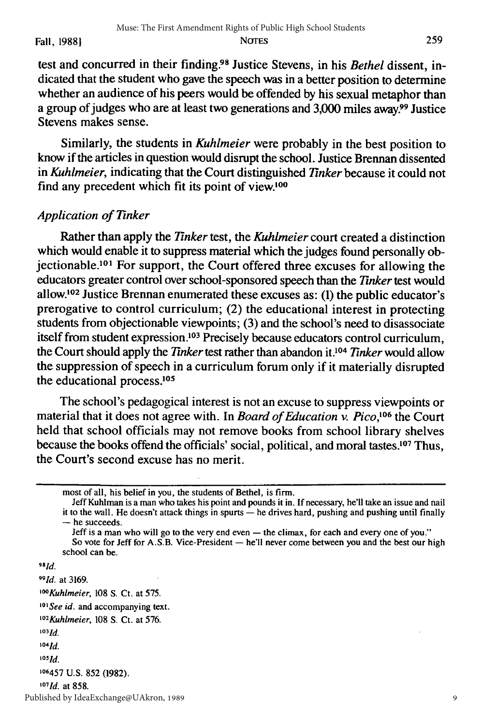test and concurred in their finding.9 8 Justice Stevens, in his *Bethel* dissent, indicated that the student who gave the speech was in a better position to determine whether an audience of his peers would be offended by his sexual metaphor than a group of judges who are at least two generations and 3,000 miles away?9 Justice Stevens makes sense.

Similarly, the students in *Kuhlmeier* were probably in the best position to know if the articles in question would disrupt the school. Justice Brennan dissented in *Kuhlmeier,* indicating that the Court distinguished *Tinker* because it could not find any precedent which fit its point of view.<sup>100</sup>

# *Application of Tinker*

Rather than apply the *Tinker* test, the *Kuhlmeier* court created a distinction which would enable it to suppress material which the judges found personally objectionable.101 For support, the Court offered three excuses for allowing the educators greater control over school-sponsored speech than the *Tinker* test would allow.<sup>102</sup> Justice Brennan enumerated these excuses as: (1) the public educator's prerogative to control curriculum; (2) the educational interest in protecting students from objectionable viewpoints; (3) and the school's need to disassociate itself from student expression.<sup>103</sup> Precisely because educators control curriculum, the Court should apply the *Tinker* test rather than abandon it.104 *Tinker* would allow the suppression of speech in a curriculum forum only if it materially disrupted the educational process.<sup>105</sup>

The school's pedagogical interest is not an excuse to suppress viewpoints or material that it does not agree with. In *Board of Education v. Pico*,<sup>106</sup> the Court held that school officials may not remove books from school library shelves because the books offend the officials' social, political, and moral tastes.<sup>107</sup> Thus, the Court's second excuse has no merit.

Jeff Kuhiman is a man who takes his point and pounds it in. If necessary, he'll take an issue and nail it to the wall. He doesn't attack things in spurts **-** he drives hard, pushing and pushing until finally - he succeeds.

Jeff is a man who will go to the very end even **-** the climax, for each and every one of you." So vote for Jeff for A.S.B. Vice-President **-** he'll never come between you and the best our high

*981d.*

*991d.* at 3169.

*10'Kuhimeier,* 108 S. Ct. at 575.

<sup>101</sup> See id. and accompanying text.

- *1°*2 Kuhlmeier, 108 **S.** Ct. at 576.
- *10***3 1d.**
- *1041d.*

 $105$  $Id$ .

**106457 U.S. 852 (1982).**

*1'7 1d.* at **858.**

Published by IdeaExchange@UAkron, 1989

9

most of all, his belief in you, the students of Bethel, is firm.

school can be.